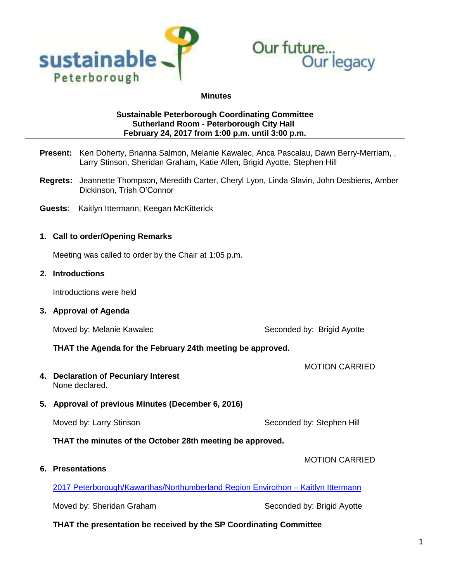



#### **Minutes**

## **Sustainable Peterborough Coordinating Committee Sutherland Room - Peterborough City Hall February 24, 2017 from 1:00 p.m. until 3:00 p.m.**

- **Present:** Ken Doherty, Brianna Salmon, Melanie Kawalec, Anca Pascalau, Dawn Berry-Merriam, , Larry Stinson, Sheridan Graham, Katie Allen, Brigid Ayotte, Stephen Hill
- **Regrets:** Jeannette Thompson, Meredith Carter, Cheryl Lyon, Linda Slavin, John Desbiens, Amber Dickinson, Trish O'Connor
- **Guests**: Kaitlyn Ittermann, Keegan McKitterick

## **1. Call to order/Opening Remarks**

Meeting was called to order by the Chair at 1:05 p.m.

#### **2. Introductions**

Introductions were held

**3. Approval of Agenda**

Moved by: Melanie Kawalec Newslett Seconded by: Brigid Ayotte

MOTION CARRIED

MOTION CARRIED

## **THAT the Agenda for the February 24th meeting be approved.**

**4. Declaration of Pecuniary Interest** None declared.

## **5. Approval of previous Minutes (December 6, 2016)**

Moved by: Larry Stinson **Seconded by: Stephen Hill** Seconded by: Stephen Hill

**THAT the minutes of the October 28th meeting be approved.**

**6. Presentations**

[2017 Peterborough/Kawarthas/Northumberland](http://sustainablepeterborough.ca/wp-content/uploads/2017/03/Peterborough-Kawarthas-Northumberland-Region-Envirothon-Presentation-to-SP-CC-Feb.-24-2017.pdf) Region Envirothon – Kaitlyn Ittermann

Moved by: Sheridan Graham Seconded by: Brigid Ayotte

## **THAT the presentation be received by the SP Coordinating Committee**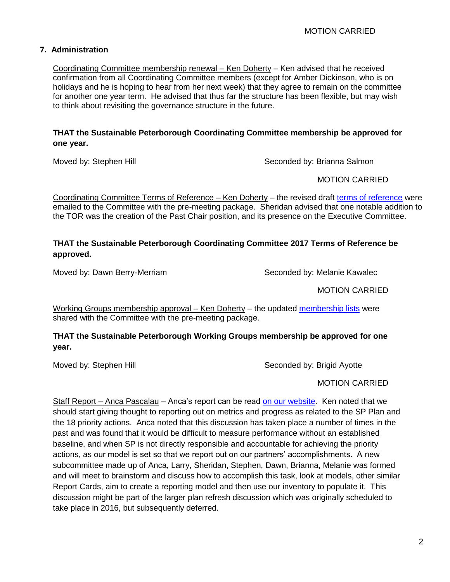## **7. Administration**

Coordinating Committee membership renewal – Ken Doherty – Ken advised that he received confirmation from all Coordinating Committee members (except for Amber Dickinson, who is on holidays and he is hoping to hear from her next week) that they agree to remain on the committee for another one year term. He advised that thus far the structure has been flexible, but may wish to think about revisiting the governance structure in the future.

## **THAT the Sustainable Peterborough Coordinating Committee membership be approved for one year.**

Moved by: Stephen Hill Seconded by: Brianna Salmon

MOTION CARRIED

Coordinating Committee Terms of Reference – Ken Doherty – the revised draft [terms of reference](http://sustainablepeterborough.ca/wp-content/uploads/2014/11/SP-CC-Terms-of-Reference-revised-Feb-24-2017.pdf) were emailed to the Committee with the pre-meeting package. Sheridan advised that one notable addition to the TOR was the creation of the Past Chair position, and its presence on the Executive Committee.

## **THAT the Sustainable Peterborough Coordinating Committee 2017 Terms of Reference be approved.**

Moved by: Dawn Berry-Merriam Seconded by: Melanie Kawalec

MOTION CARRIED

Working Groups membership approval – Ken Doherty – the updated [membership lists](http://sustainablepeterborough.ca/wp-content/uploads/2017/03/SP-Working-Groups-Membership-Feb-2017.pdf) were shared with the Committee with the pre-meeting package.

## **THAT the Sustainable Peterborough Working Groups membership be approved for one year.**

Moved by: Stephen Hill Seconded by: Brigid Ayotte

MOTION CARRIED

Staff Report – Anca Pascalau – Anca's report can be read [on our website.](http://sustainablepeterborough.ca/wp-content/uploads/2017/03/Staff-Report-Jan.-27.pdf) Ken noted that we should start giving thought to reporting out on metrics and progress as related to the SP Plan and the 18 priority actions. Anca noted that this discussion has taken place a number of times in the past and was found that it would be difficult to measure performance without an established baseline, and when SP is not directly responsible and accountable for achieving the priority actions, as our model is set so that we report out on our partners' accomplishments. A new subcommittee made up of Anca, Larry, Sheridan, Stephen, Dawn, Brianna, Melanie was formed and will meet to brainstorm and discuss how to accomplish this task, look at models, other similar Report Cards, aim to create a reporting model and then use our inventory to populate it. This discussion might be part of the larger plan refresh discussion which was originally scheduled to take place in 2016, but subsequently deferred.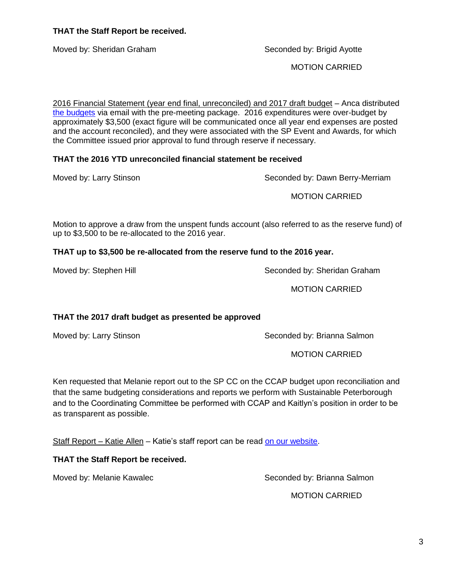MOTION CARRIED

Motion to approve a draw from the unspent funds account (also referred to as the reserve fund) of

**THAT up to \$3,500 be re-allocated from the reserve fund to the 2016 year.** 

Moved by: Stephen Hill Seconded by: Sheridan Graham

up to \$3,500 to be re-allocated to the 2016 year.

**THAT the 2017 draft budget as presented be approved** 

Moved by: Larry Stinson Seconded by: Brianna Salmon

Ken requested that Melanie report out to the SP CC on the CCAP budget upon reconciliation and that the same budgeting considerations and reports we perform with Sustainable Peterborough and to the Coordinating Committee be performed with CCAP and Kaitlyn's position in order to be as transparent as possible.

Staff Report – Katie Allen – Katie's staff report can be read [on our website.](http://sustainablepeterborough.ca/wp-content/uploads/2017/03/Staff-Rpt-Partnership-Feb.pdf)

# **THAT the Staff Report be received.**

Moved by: Melanie Kawalec New Seconded by: Brianna Salmon

Moved by: Sheridan Graham Seconded by: Brigid Ayotte

MOTION CARRIED

2016 Financial Statement (year end final, unreconciled) and 2017 draft budget – Anca distributed [the budgets](http://sustainablepeterborough.ca/wp-content/uploads/2017/03/2016-financial-statement-to-dec-31-and-2017-draft.pdf) via email with the pre-meeting package. 2016 expenditures were over-budget by approximately \$3,500 (exact figure will be communicated once all year end expenses are posted and the account reconciled), and they were associated with the SP Event and Awards, for which the Committee issued prior approval to fund through reserve if necessary.

Moved by: Larry Stinson Seconded by: Dawn Berry-Merriam

## **THAT the 2016 YTD unreconciled financial statement be received**

MOTION CARRIED

MOTION CARRIED

MOTION CARRIED

# **THAT the Staff Report be received.**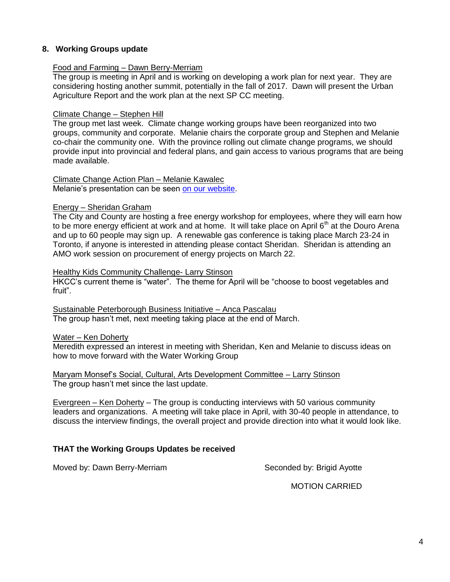## **8. Working Groups update**

#### Food and Farming – Dawn Berry-Merriam

The group is meeting in April and is working on developing a work plan for next year. They are considering hosting another summit, potentially in the fall of 2017. Dawn will present the Urban Agriculture Report and the work plan at the next SP CC meeting.

#### Climate Change – Stephen Hill

The group met last week. Climate change working groups have been reorganized into two groups, community and corporate. Melanie chairs the corporate group and Stephen and Melanie co-chair the community one. With the province rolling out climate change programs, we should provide input into provincial and federal plans, and gain access to various programs that are being made available.

#### Climate Change Action Plan – Melanie Kawalec

Melanie's presentation can be seen [on our website.](http://sustainablepeterborough.ca/wp-content/uploads/2017/03/CCAP-Implementation-Update-Feb-24-2017.pdf)

#### Energy – Sheridan Graham

The City and County are hosting a free energy workshop for employees, where they will earn how to be more energy efficient at work and at home. It will take place on April  $6<sup>th</sup>$  at the Douro Arena and up to 60 people may sign up. A renewable gas conference is taking place March 23-24 in Toronto, if anyone is interested in attending please contact Sheridan. Sheridan is attending an AMO work session on procurement of energy projects on March 22.

#### Healthy Kids Community Challenge- Larry Stinson

HKCC's current theme is "water". The theme for April will be "choose to boost vegetables and fruit".

Sustainable Peterborough Business Initiative – Anca Pascalau The group hasn't met, next meeting taking place at the end of March.

#### Water - Ken Doherty

Meredith expressed an interest in meeting with Sheridan, Ken and Melanie to discuss ideas on how to move forward with the Water Working Group

Maryam Monsef's Social, Cultural, Arts Development Committee – Larry Stinson The group hasn't met since the last update.

Evergreen – Ken Doherty – The group is conducting interviews with 50 various community leaders and organizations. A meeting will take place in April, with 30-40 people in attendance, to discuss the interview findings, the overall project and provide direction into what it would look like.

## **THAT the Working Groups Updates be received**

Moved by: Dawn Berry-Merriam Seconded by: Brigid Ayotte

MOTION CARRIED